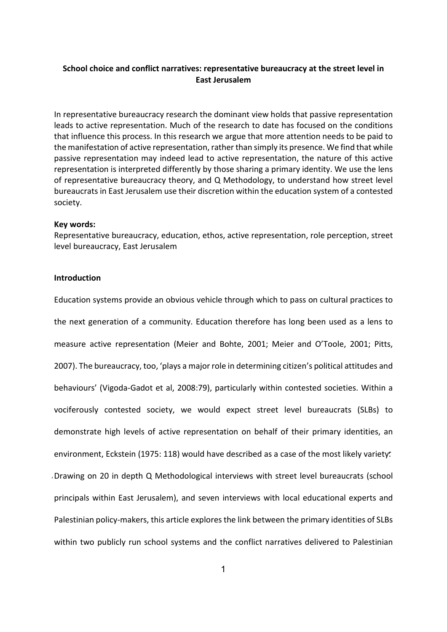# **School choice and conflict narratives: representative bureaucracy at the street level in East Jerusalem**

In representative bureaucracy research the dominant view holds that passive representation leads to active representation. Much of the research to date has focused on the conditions that influence this process. In this research we argue that more attention needs to be paid to the manifestation of active representation, rather than simply its presence. We find that while passive representation may indeed lead to active representation, the nature of this active representation is interpreted differently by those sharing a primary identity. We use the lens of representative bureaucracy theory, and Q Methodology, to understand how street level bureaucrats in East Jerusalem use their discretion within the education system of a contested society.

#### **Key words:**

Representative bureaucracy, education, ethos, active representation, role perception, street level bureaucracy, East Jerusalem

# **Introduction**

Education systems provide an obvious vehicle through which to pass on cultural practices to the next generation of a community. Education therefore has long been used as a lens to measure active representation (Meier and Bohte, 2001; Meier and O'Toole, 2001; Pitts, 2007). The bureaucracy, too, 'plays a major role in determining citizen's political attitudes and behaviours' (Vigoda-Gadot et al, 2008:79), particularly within contested societies. Within a vociferously contested society, we would expect street level bureaucrats (SLBs) to demonstrate high levels of active representation on behalf of their primary identities, an environment, Eckstein (1975: 118) would have described as a case of the most likely variety. Drawing on 20 in depth Q Methodological interviews with street level bureaucrats (school principals within East Jerusalem), and seven interviews with local educational experts and Palestinian policy-makers, this article explores the link between the primary identities of SLBs within two publicly run school systems and the conflict narratives delivered to Palestinian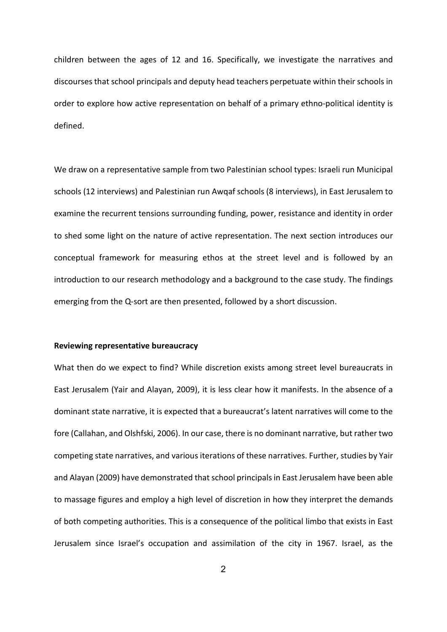children between the ages of 12 and 16. Specifically, we investigate the narratives and discourses that school principals and deputy head teachers perpetuate within their schools in order to explore how active representation on behalf of a primary ethno-political identity is defined.

We draw on a representative sample from two Palestinian school types: Israeli run Municipal schools (12 interviews) and Palestinian run Awqaf schools (8 interviews), in East Jerusalem to examine the recurrent tensions surrounding funding, power, resistance and identity in order to shed some light on the nature of active representation. The next section introduces our conceptual framework for measuring ethos at the street level and is followed by an introduction to our research methodology and a background to the case study. The findings emerging from the Q-sort are then presented, followed by a short discussion.

### **Reviewing representative bureaucracy**

What then do we expect to find? While discretion exists among street level bureaucrats in East Jerusalem (Yair and Alayan, 2009), it is less clear how it manifests. In the absence of a dominant state narrative, it is expected that a bureaucrat's latent narratives will come to the fore (Callahan, and Olshfski, 2006). In our case, there is no dominant narrative, but rather two competing state narratives, and various iterations of these narratives. Further, studies by Yair and Alayan (2009) have demonstrated that school principals in East Jerusalem have been able to massage figures and employ a high level of discretion in how they interpret the demands of both competing authorities. This is a consequence of the political limbo that exists in East Jerusalem since Israel's occupation and assimilation of the city in 1967. Israel, as the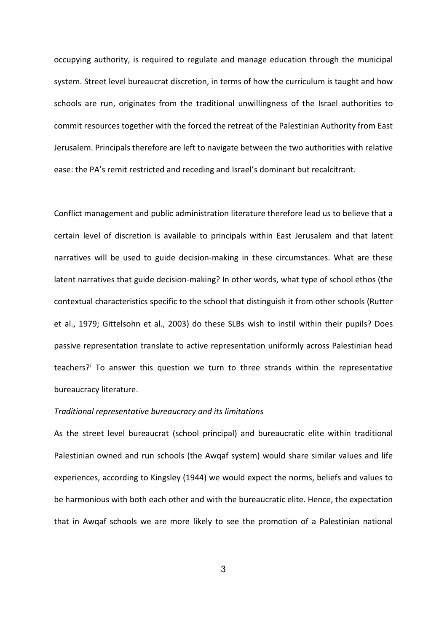occupying authority, is required to regulate and manage education through the municipal system. Street level bureaucrat discretion, in terms of how the curriculum is taught and how schools are run, originates from the traditional unwillingness of the Israel authorities to commit resources together with the forced the retreat of the Palestinian Authority from East Jerusalem. Principals therefore are left to navigate between the two authorities with relative ease: the PA's remit restricted and receding and Israel's dominant but recalcitrant.

Conflict management and public administration literature therefore lead us to believe that a certain level of discretion is available to principals within East Jerusalem and that latent narratives will be used to guide decision-making in these circumstances. What are these latent narratives that guide decision-making? In other words, what type of school ethos (the contextual characteristics specific to the school that distinguish it from other schools (Rutter et al., 1979; Gittelsohn et al., 2003) do these SLBs wish to instil within their pupils? Does passive representation translate to active representation uniformly across Palestinian head teachers?[i](#page-8-0) To answer this question we turn to three strands within the representative bureaucracy literature.

#### *Traditional representative bureaucracy and its limitations*

As the street level bureaucrat (school principal) and bureaucratic elite within traditional Palestinian owned and run schools (the Awqaf system) would share similar values and life experiences, according to Kingsley (1944) we would expect the norms, beliefs and values to be harmonious with both each other and with the bureaucratic elite. Hence, the expectation that in Awqaf schools we are more likely to see the promotion of a Palestinian national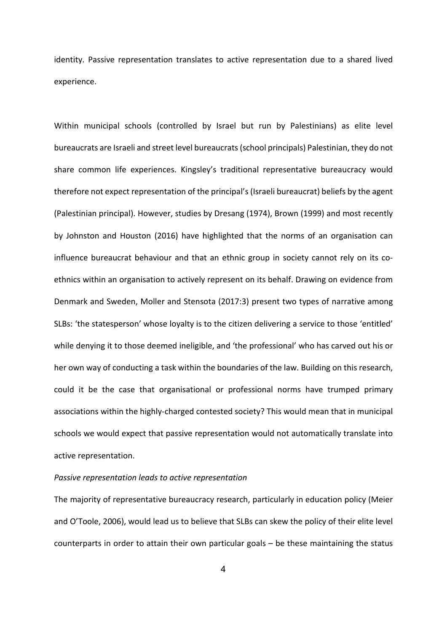identity. Passive representation translates to active representation due to a shared lived experience.

Within municipal schools (controlled by Israel but run by Palestinians) as elite level bureaucrats are Israeli and street level bureaucrats(school principals) Palestinian, they do not share common life experiences. Kingsley's traditional representative bureaucracy would therefore not expect representation of the principal's (Israeli bureaucrat) beliefs by the agent (Palestinian principal). However, studies by Dresang (1974), Brown (1999) and most recently by Johnston and Houston (2016) have highlighted that the norms of an organisation can influence bureaucrat behaviour and that an ethnic group in society cannot rely on its coethnics within an organisation to actively represent on its behalf. Drawing on evidence from Denmark and Sweden, Moller and Stensota (2017:3) present two types of narrative among SLBs: 'the statesperson' whose loyalty is to the citizen delivering a service to those 'entitled' while denying it to those deemed ineligible, and 'the professional' who has carved out his or her own way of conducting a task within the boundaries of the law. Building on this research, could it be the case that organisational or professional norms have trumped primary associations within the highly-charged contested society? This would mean that in municipal schools we would expect that passive representation would not automatically translate into active representation.

#### *Passive representation leads to active representation*

The majority of representative bureaucracy research, particularly in education policy (Meier and O'Toole, 2006), would lead us to believe that SLBs can skew the policy of their elite level counterparts in order to attain their own particular goals – be these maintaining the status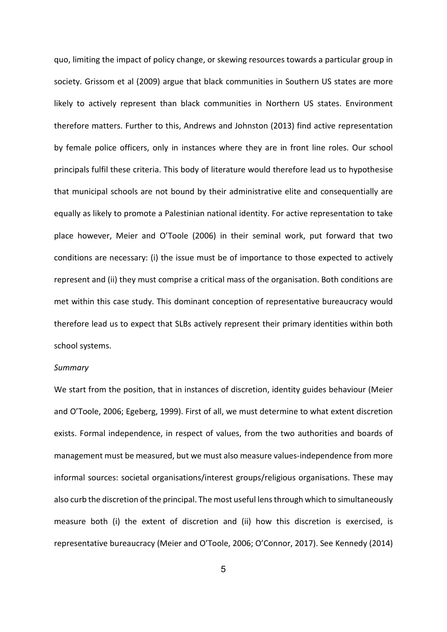quo, limiting the impact of policy change, or skewing resources towards a particular group in society. Grissom et al (2009) argue that black communities in Southern US states are more likely to actively represent than black communities in Northern US states. Environment therefore matters. Further to this, Andrews and Johnston (2013) find active representation by female police officers, only in instances where they are in front line roles. Our school principals fulfil these criteria. This body of literature would therefore lead us to hypothesise that municipal schools are not bound by their administrative elite and consequentially are equally as likely to promote a Palestinian national identity. For active representation to take place however, Meier and O'Toole (2006) in their seminal work, put forward that two conditions are necessary: (i) the issue must be of importance to those expected to actively represent and (ii) they must comprise a critical mass of the organisation. Both conditions are met within this case study. This dominant conception of representative bureaucracy would therefore lead us to expect that SLBs actively represent their primary identities within both school systems.

#### *Summary*

We start from the position, that in instances of discretion, identity guides behaviour (Meier and O'Toole, 2006; Egeberg, 1999). First of all, we must determine to what extent discretion exists. Formal independence, in respect of values, from the two authorities and boards of management must be measured, but we must also measure values-independence from more informal sources: societal organisations/interest groups/religious organisations. These may also curb the discretion of the principal. The most useful lens through which to simultaneously measure both (i) the extent of discretion and (ii) how this discretion is exercised, is representative bureaucracy (Meier and O'Toole, 2006; O'Connor, 2017). See Kennedy (2014)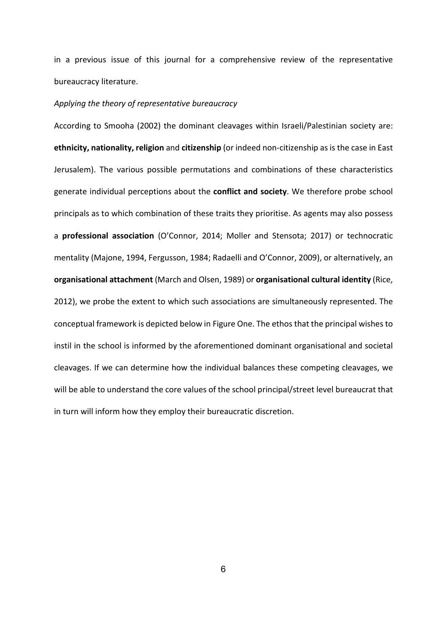in a previous issue of this journal for a comprehensive review of the representative bureaucracy literature.

# *Applying the theory of representative bureaucracy*

According to Smooha (2002) the dominant cleavages within Israeli/Palestinian society are: **ethnicity, nationality, religion** and **citizenship** (or indeed non-citizenship as is the case in East Jerusalem). The various possible permutations and combinations of these characteristics generate individual perceptions about the **conflict and society**. We therefore probe school principals as to which combination of these traits they prioritise. As agents may also possess a **professional association** (O'Connor, 2014; Moller and Stensota; 2017) or technocratic mentality (Majone, 1994, Fergusson, 1984; Radaelli and O'Connor, 2009), or alternatively, an **organisational attachment** (March and Olsen, 1989) or **organisational cultural identity** (Rice, 2012), we probe the extent to which such associations are simultaneously represented. The conceptual framework is depicted below in Figure One. The ethos that the principal wishes to instil in the school is informed by the aforementioned dominant organisational and societal cleavages. If we can determine how the individual balances these competing cleavages, we will be able to understand the core values of the school principal/street level bureaucrat that in turn will inform how they employ their bureaucratic discretion.

6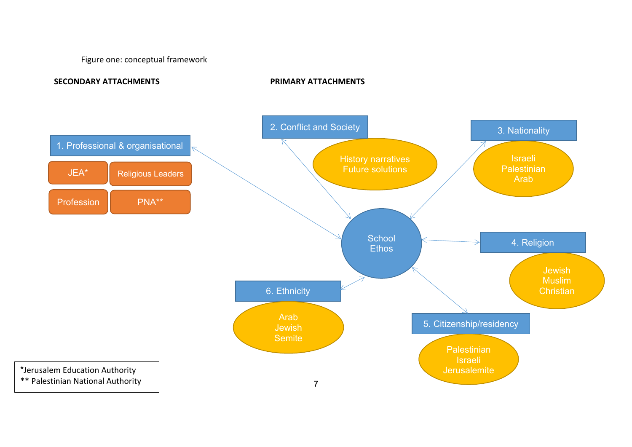Figure one: conceptual framework

**SECONDARY ATTACHMENTS PRIMARY ATTACHMENTS**

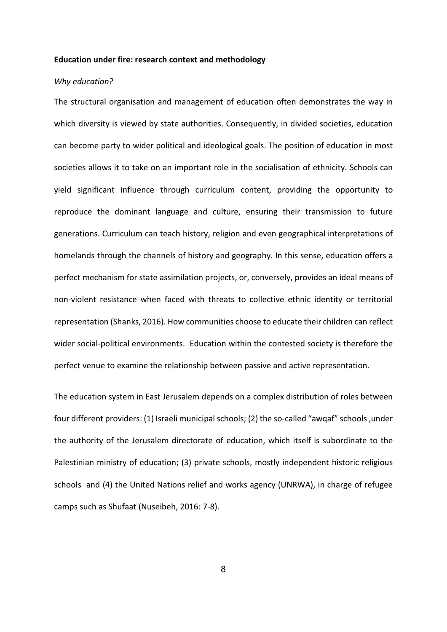#### **Education under fire: research context and methodology**

### *Why education?*

The structural organisation and management of education often demonstrates the way in which diversity is viewed by state authorities. Consequently, in divided societies, education can become party to wider political and ideological goals. The position of education in most societies allows it to take on an important role in the socialisation of ethnicity. Schools can yield significant influence through curriculum content, providing the opportunity to reproduce the dominant language and culture, ensuring their transmission to future generations. Curriculum can teach history, religion and even geographical interpretations of homelands through the channels of history and geography. In this sense, education offers a perfect mechanism for state assimilation projects, or, conversely, provides an ideal means of non-violent resistance when faced with threats to collective ethnic identity or territorial representation (Shanks, 2016). How communities choose to educate their children can reflect wider social-political environments. Education within the contested society is therefore the perfect venue to examine the relationship between passive and active representation.

The education system in East Jerusalem depends on a complex distribution of roles between four different providers: (1) Israeli municipal schools; (2) the so-called "awqaf" schools ,under the authority of the Jerusalem directorate of education, which itself is subordinate to the Palestinian ministry of education; (3) private schools, mostly independent historic religious schools and (4) the United Nations relief and works agency (UNRWA), in charge of refugee camps such as Shufaat (Nuseibeh, 2016: 7-8).

8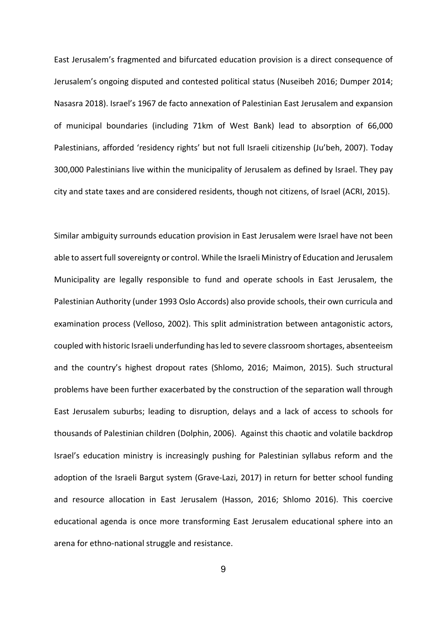<span id="page-8-1"></span>East Jerusalem's fragmented and bifurcated education provision is a direct consequence of Jerusalem's ongoing disputed and contested political status (Nuseibeh 2016; Dumper 2014; Nasasra 2018). Israel's 1967 de facto annexation of Palestinian East Jerusalem and expansion of municipal boundaries (including 71km of West Bank) lead to absorption of 66,000 Palestinians, afforded 'residency rights' but not full Israeli citizenship (Ju'beh, 2007). Today 300,000 Palestinians live within the municipality of Jerusalem as defined by Israel. They pay city and state taxes and are considered residents, though not citizens, of Israel (ACRI, 2015).

<span id="page-8-3"></span><span id="page-8-2"></span><span id="page-8-0"></span>Similar ambiguity surrounds education provision in East Jerusalem were Israel have not been able to assert full sovereignty or control. While the Israeli Ministry of Education and Jerusalem Municipality are legally responsible to fund and operate schools in East Jerusalem, the Palestinian Authority (under 1993 Oslo Accords) also provide schools, their own curricula and examination process (Velloso, 2002). This split administration between antagonistic actors, coupled with historic Israeli underfunding has led to severe classroom shortages, absenteeism and the country's highest dropout rates (Shlomo, 2016; Maimon, 2015). Such structural problems have been further exacerbated by the construction of the separation wall through East Jerusalem suburbs; leading to disruption, delays and a lack of access to schools for thousands of Palestinian children (Dolphin, 2006). Against this chaotic and volatile backdrop Israel's education ministry is increasingly pushing for Palestinian syllabus reform and the adoption of the Israeli Bargut system (Grave-Lazi, 2017) in return for better school funding and resource allocation in East Jerusalem (Hasson, 2016; Shlomo 2016). This coercive educational agenda is once more transforming East Jerusalem educational sphere into an arena for ethno-national struggle and resistance.

<span id="page-8-4"></span>9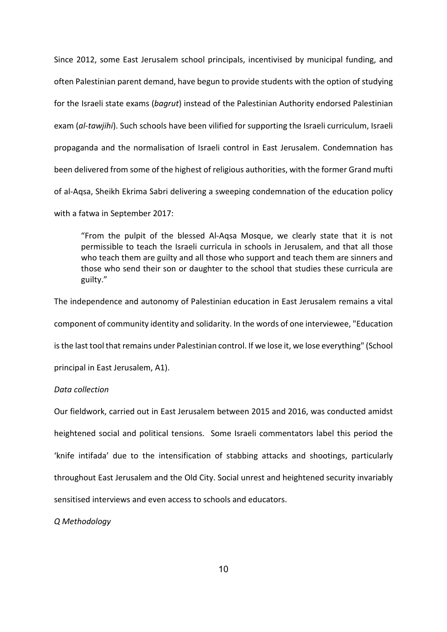Since 2012, some East Jerusalem school principals, incentivised by municipal funding, and often Palestinian parent demand, have begun to provide students with the option of studying for the Israeli state exams (*bagrut*) instead of the Palestinian Authority endorsed Palestinian exam (*al-tawjihi*). Such schools have been vilified for supporting the Israeli curriculum, Israeli propaganda and the normalisation of Israeli control in East Jerusalem. Condemnation has been delivered from some of the highest of religious authorities, with the former Grand mufti of al-Aqsa, Sheikh Ekrima Sabri delivering a sweeping condemnation of the education policy with a fatwa in September 2017:

"From the pulpit of the blessed Al-Aqsa Mosque, we clearly state that it is not permissible to teach the Israeli curricula in schools in Jerusalem, and that all those who teach them are guilty and all those who support and teach them are sinners and those who send their son or daughter to the school that studies these curricula are guilty."

The independence and autonomy of Palestinian education in East Jerusalem remains a vital component of community identity and solidarity. In the words of one interviewee, "Education is the last tool that remains under Palestinian control. If we lose it, we lose everything" (School principal in East Jerusalem, A1).

# *Data collection*

Our fieldwork, carried out in East Jerusalem between 2015 and 2016, was conducted amidst heightened social and political tensions. Some Israeli commentators label this period the 'knife intifada' due to the intensification of stabbing attacks and shootings, particularly throughout East Jerusalem and the Old City. Social unrest and heightened security invariably sensitised interviews and even access to schools and educators.

*Q Methodology*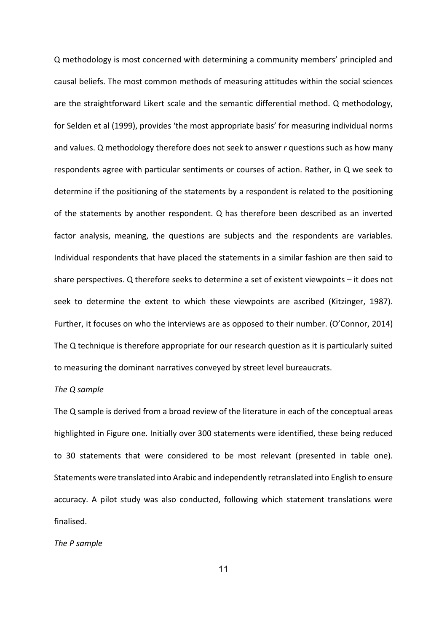Q methodology is most concerned with determining a community members' principled and causal beliefs. The most common methods of measuring attitudes within the social sciences are the straightforward Likert scale and the semantic differential method. Q methodology, for Selden et al (1999), provides 'the most appropriate basis' for measuring individual norms and values. Q methodology therefore does not seek to answer *r* questions such as how many respondents agree with particular sentiments or courses of action. Rather, in Q we seek to determine if the positioning of the statements by a respondent is related to the positioning of the statements by another respondent. Q has therefore been described as an inverted factor analysis, meaning, the questions are subjects and the respondents are variables. Individual respondents that have placed the statements in a similar fashion are then said to share perspectives. Q therefore seeks to determine a set of existent viewpoints – it does not seek to determine the extent to which these viewpoints are ascribed (Kitzinger, 1987). Further, it focuses on who the interviews are as opposed to their number. (O'Connor, 2014) The Q technique is therefore appropriate for our research question as it is particularly suited to measuring the dominant narratives conveyed by street level bureaucrats.

#### *The Q sample*

The Q sample is derived from a broad review of the literature in each of the conceptual areas highlighted in Figure one. Initially over 300 statements were identified, these being reduced to 30 statements that were considered to be most relevant (presented in table one). Statements were translated into Arabic and independently retranslated into English to ensure accuracy. A pilot study was also conducted, following which statement translations were finalised.

#### *The P sample*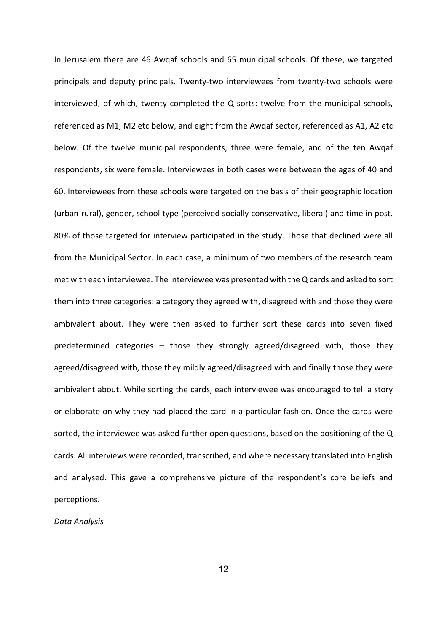In Jerusalem there are 46 Awqaf schools and 65 municipal schools. Of these, we targeted principals and deputy principals. Twenty-two interviewees from twenty-two schools were interviewed, of which, twenty completed the Q sorts: twelve from the municipal schools, referenced as M1, M2 etc below, and eight from the Awqaf sector, referenced as A1, A2 etc below. Of the twelve municipal respondents, three were female, and of the ten Awqaf respondents, six were female. Interviewees in both cases were between the ages of 40 and 60. Interviewees from these schools were targeted on the basis of their geographic location (urban-rural), gender, school type (perceived socially conservative, liberal) and time in post. 80% of those targeted for interview participated in the study. Those that declined were all from the Municipal Sector. In each case, a minimum of two members of the research team met with each interviewee. The interviewee was presented with the Q cards and asked to sort them into three categories: a category they agreed with, disagreed with and those they were ambivalent about. They were then asked to further sort these cards into seven fixed predetermined categories – those they strongly agreed/disagreed with, those they agreed/disagreed with, those they mildly agreed/disagreed with and finally those they were ambivalent about. While sorting the cards, each interviewee was encouraged to tell a story or elaborate on why they had placed the card in a particular fashion. Once the cards were sorted, the interviewee was asked further open questions, based on the positioning of the Q cards. All interviews were recorded, transcribed, and where necessary translated into English and analysed. This gave a comprehensive picture of the respondent's core beliefs and perceptions.

*Data Analysis*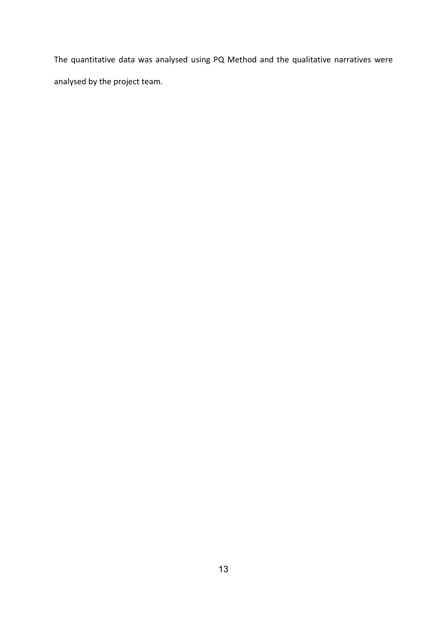The quantitative data was analysed using PQ Method and the qualitative narratives were analysed by the project team.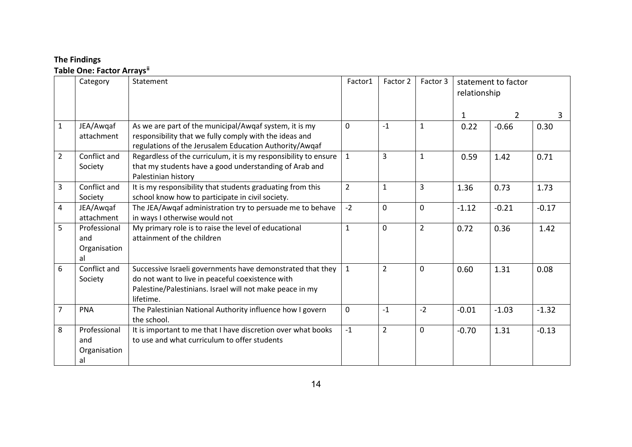# **The Findings Table One: Factor Arrays[ii](#page-8-1)**

|                | Category                                  | Statement                                                                                                                                                                               | Factor1        | Factor 2       | Factor 3       | statement to factor<br>relationship |                |         |
|----------------|-------------------------------------------|-----------------------------------------------------------------------------------------------------------------------------------------------------------------------------------------|----------------|----------------|----------------|-------------------------------------|----------------|---------|
|                |                                           |                                                                                                                                                                                         |                |                |                | 1                                   | $\overline{2}$ | 3       |
| $\mathbf{1}$   | JEA/Awqaf<br>attachment                   | As we are part of the municipal/Awqaf system, it is my<br>responsibility that we fully comply with the ideas and<br>regulations of the Jerusalem Education Authority/Awqaf              | $\Omega$       | $-1$           | $\mathbf{1}$   | 0.22                                | $-0.66$        | 0.30    |
| $\overline{2}$ | Conflict and<br>Society                   | Regardless of the curriculum, it is my responsibility to ensure<br>that my students have a good understanding of Arab and<br>Palestinian history                                        | $\mathbf{1}$   | $\overline{3}$ | $\mathbf{1}$   | 0.59                                | 1.42           | 0.71    |
| 3              | Conflict and<br>Society                   | It is my responsibility that students graduating from this<br>school know how to participate in civil society.                                                                          | $\overline{2}$ | $\mathbf{1}$   | 3              | 1.36                                | 0.73           | 1.73    |
| 4              | JEA/Awqaf<br>attachment                   | The JEA/Awqaf administration try to persuade me to behave<br>in ways I otherwise would not                                                                                              | $-2$           | $\mathbf 0$    | $\mathbf 0$    | $-1.12$                             | $-0.21$        | $-0.17$ |
| 5              | Professional<br>and<br>Organisation<br>al | My primary role is to raise the level of educational<br>attainment of the children                                                                                                      | $\mathbf{1}$   | $\mathbf 0$    | $\overline{2}$ | 0.72                                | 0.36           | 1.42    |
| 6              | Conflict and<br>Society                   | Successive Israeli governments have demonstrated that they<br>do not want to live in peaceful coexistence with<br>Palestine/Palestinians. Israel will not make peace in my<br>lifetime. | $\mathbf{1}$   | $\overline{2}$ | $\mathbf 0$    | 0.60                                | 1.31           | 0.08    |
| $\overline{7}$ | <b>PNA</b>                                | The Palestinian National Authority influence how I govern<br>the school.                                                                                                                | $\mathbf 0$    | $-1$           | $-2$           | $-0.01$                             | $-1.03$        | $-1.32$ |
| 8              | Professional<br>and<br>Organisation<br>al | It is important to me that I have discretion over what books<br>to use and what curriculum to offer students                                                                            | $-1$           | $\overline{2}$ | $\mathbf 0$    | $-0.70$                             | 1.31           | $-0.13$ |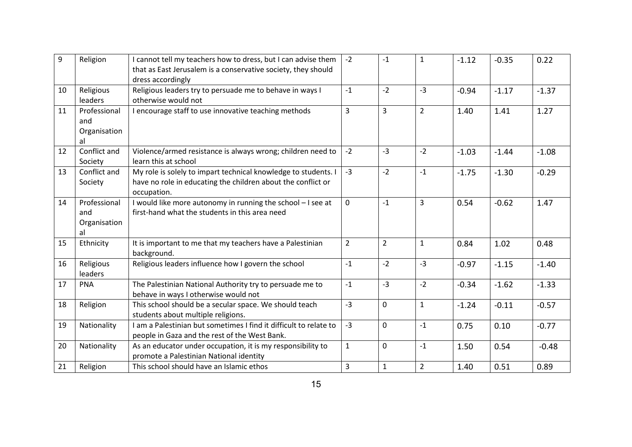| 9  | Religion                                  | I cannot tell my teachers how to dress, but I can advise them<br>that as East Jerusalem is a conservative society, they should<br>dress accordingly | $-2$           | $-1$           | $\mathbf{1}$   | $-1.12$ | $-0.35$ | 0.22    |
|----|-------------------------------------------|-----------------------------------------------------------------------------------------------------------------------------------------------------|----------------|----------------|----------------|---------|---------|---------|
| 10 | Religious<br>leaders                      | Religious leaders try to persuade me to behave in ways I<br>otherwise would not                                                                     | $-1$           | $-2$           | $-3$           | $-0.94$ | $-1.17$ | $-1.37$ |
| 11 | Professional<br>and<br>Organisation<br>al | I encourage staff to use innovative teaching methods                                                                                                | 3              | 3              | $\overline{2}$ | 1.40    | 1.41    | 1.27    |
| 12 | Conflict and<br>Society                   | Violence/armed resistance is always wrong; children need to<br>learn this at school                                                                 | $-2$           | $-3$           | $-2$           | $-1.03$ | $-1.44$ | $-1.08$ |
| 13 | Conflict and<br>Society                   | My role is solely to impart technical knowledge to students. I<br>have no role in educating the children about the conflict or<br>occupation.       | $-3$           | $-2$           | $-1$           | $-1.75$ | $-1.30$ | $-0.29$ |
| 14 | Professional<br>and<br>Organisation<br>al | I would like more autonomy in running the school - I see at<br>first-hand what the students in this area need                                       | $\Omega$       | $-1$           | 3              | 0.54    | $-0.62$ | 1.47    |
| 15 | Ethnicity                                 | It is important to me that my teachers have a Palestinian<br>background.                                                                            | $\overline{2}$ | $\overline{2}$ | $\mathbf{1}$   | 0.84    | 1.02    | 0.48    |
| 16 | Religious<br>leaders                      | Religious leaders influence how I govern the school                                                                                                 | $-1$           | $-2$           | $-3$           | $-0.97$ | $-1.15$ | $-1.40$ |
| 17 | <b>PNA</b>                                | The Palestinian National Authority try to persuade me to<br>behave in ways I otherwise would not                                                    | $-1$           | $-3$           | $-2$           | $-0.34$ | $-1.62$ | $-1.33$ |
| 18 | Religion                                  | This school should be a secular space. We should teach<br>students about multiple religions.                                                        | $-3$           | $\mathbf 0$    | $\mathbf{1}$   | $-1.24$ | $-0.11$ | $-0.57$ |
| 19 | Nationality                               | I am a Palestinian but sometimes I find it difficult to relate to<br>people in Gaza and the rest of the West Bank.                                  | $-3$           | $\mathbf 0$    | $-1$           | 0.75    | 0.10    | $-0.77$ |
| 20 | Nationality                               | As an educator under occupation, it is my responsibility to<br>promote a Palestinian National identity                                              | $\mathbf{1}$   | $\mathbf 0$    | $-1$           | 1.50    | 0.54    | $-0.48$ |
| 21 | Religion                                  | This school should have an Islamic ethos                                                                                                            | $\overline{3}$ | $\mathbf{1}$   | $\overline{2}$ | 1.40    | 0.51    | 0.89    |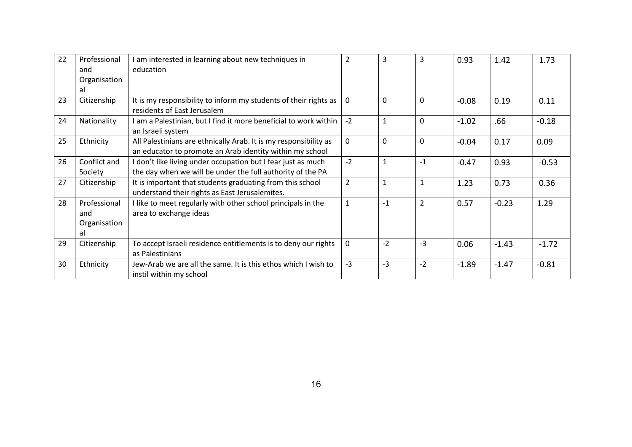| 22 | Professional | I am interested in learning about new techniques in              | $\overline{2}$ | 3            | 3              | 0.93    | 1.42    | 1.73    |
|----|--------------|------------------------------------------------------------------|----------------|--------------|----------------|---------|---------|---------|
|    | and          | education                                                        |                |              |                |         |         |         |
|    | Organisation |                                                                  |                |              |                |         |         |         |
|    | al           |                                                                  |                |              |                |         |         |         |
| 23 | Citizenship  | It is my responsibility to inform my students of their rights as | 0              | 0            | 0              | $-0.08$ | 0.19    | 0.11    |
|    |              | residents of East Jerusalem                                      |                |              |                |         |         |         |
| 24 | Nationality  | am a Palestinian, but I find it more beneficial to work within   | $-2$           | $\mathbf{1}$ | 0              | $-1.02$ | .66     | $-0.18$ |
|    |              | an Israeli system                                                |                |              |                |         |         |         |
| 25 | Ethnicity    | All Palestinians are ethnically Arab. It is my responsibility as | $\mathbf 0$    | $\Omega$     | $\mathbf 0$    | $-0.04$ | 0.17    | 0.09    |
|    |              | an educator to promote an Arab identity within my school         |                |              |                |         |         |         |
| 26 | Conflict and | I don't like living under occupation but I fear just as much     | $-2$           | $\mathbf{1}$ | $-1$           | $-0.47$ | 0.93    | $-0.53$ |
|    | Society      | the day when we will be under the full authority of the PA       |                |              |                |         |         |         |
| 27 | Citizenship  | It is important that students graduating from this school        | $\overline{2}$ | 1            | $\mathbf{1}$   | 1.23    | 0.73    | 0.36    |
|    |              | understand their rights as East Jerusalemites.                   |                |              |                |         |         |         |
| 28 | Professional | I like to meet regularly with other school principals in the     | $\mathbf 1$    | $-1$         | $\overline{2}$ | 0.57    | $-0.23$ | 1.29    |
|    | and          | area to exchange ideas                                           |                |              |                |         |         |         |
|    | Organisation |                                                                  |                |              |                |         |         |         |
|    | al           |                                                                  |                |              |                |         |         |         |
| 29 | Citizenship  | To accept Israeli residence entitlements is to deny our rights   | $\mathbf 0$    | $-2$         | $-3$           | 0.06    | $-1.43$ | $-1.72$ |
|    |              | as Palestinians                                                  |                |              |                |         |         |         |
| 30 | Ethnicity    | Jew-Arab we are all the same. It is this ethos which I wish to   | $-3$           | $-3$         | $-2$           | $-1.89$ | $-1.47$ | $-0.81$ |
|    |              | instil within my school                                          |                |              |                |         |         |         |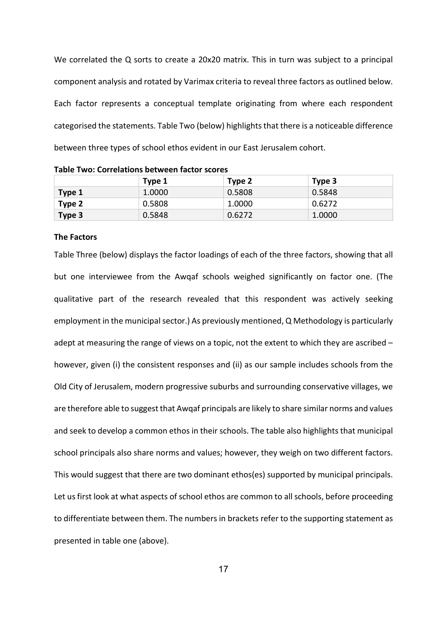We correlated the Q sorts to create a 20x20 matrix. This in turn was subject to a principal component analysis and rotated by Varimax criteria to reveal three factors as outlined below. Each factor represents a conceptual template originating from where each respondent categorised the statements. Table Two (below) highlights that there is a noticeable difference between three types of school ethos evident in our East Jerusalem cohort.

|        | Type 1 | Type 2 | Type 3 |
|--------|--------|--------|--------|
| Type 1 | 1.0000 | 0.5808 | 0.5848 |
| Type 2 | 0.5808 | 1.0000 | 0.6272 |
| Type 3 | 0.5848 | 0.6272 | 1.0000 |

**Table Two: Correlations between factor scores**

#### **The Factors**

Table Three (below) displays the factor loadings of each of the three factors, showing that all but one interviewee from the Awqaf schools weighed significantly on factor one. (The qualitative part of the research revealed that this respondent was actively seeking employment in the municipal sector.) As previously mentioned, Q Methodology is particularly adept at measuring the range of views on a topic, not the extent to which they are ascribed – however, given (i) the consistent responses and (ii) as our sample includes schools from the Old City of Jerusalem, modern progressive suburbs and surrounding conservative villages, we are therefore able to suggest that Awqaf principals are likely to share similar norms and values and seek to develop a common ethos in their schools. The table also highlights that municipal school principals also share norms and values; however, they weigh on two different factors. This would suggest that there are two dominant ethos(es) supported by municipal principals. Let us first look at what aspects of school ethos are common to all schools, before proceeding to differentiate between them. The numbers in brackets refer to the supporting statement as presented in table one (above).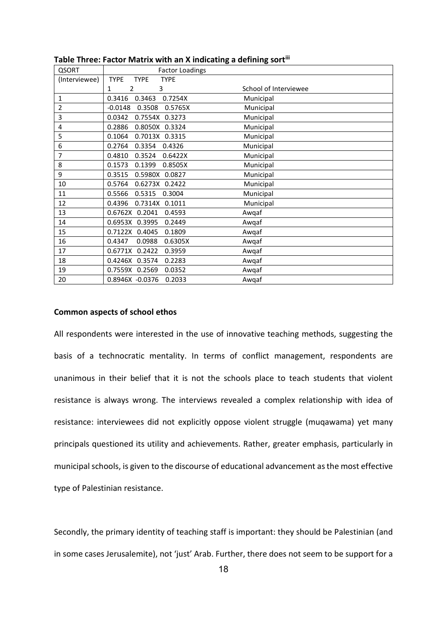| <b>QSORT</b>  | <b>Factor Loadings</b>                    |                       |
|---------------|-------------------------------------------|-----------------------|
| (Interviewee) | <b>TYPE</b><br><b>TYPE</b><br><b>TYPE</b> |                       |
|               | 2<br>3<br>1                               | School of Interviewee |
| $\mathbf{1}$  | 0.3416<br>0.3463<br>0.7254X               | Municipal             |
| 2             | 0.3508<br>$-0.0148$<br>0.5765X            | Municipal             |
| 3             | 0.0342<br>0.7554X 0.3273                  | Municipal             |
| 4             | 0.2886<br>0.8050X 0.3324                  | Municipal             |
| 5             | 0.1064<br>0.7013X 0.3315                  | Municipal             |
| 6             | 0.2764<br>0.3354<br>0.4326                | Municipal             |
| 7             | 0.4810<br>0.3524<br>0.6422X               | Municipal             |
| 8             | 0.1573<br>0.1399<br>0.8505X               | Municipal             |
| 9             | 0.3515<br>0.5980X 0.0827                  | Municipal             |
| 10            | 0.5764<br>0.6273X<br>0.2422               | Municipal             |
| 11            | 0.5566<br>0.5315<br>0.3004                | Municipal             |
| 12            | 0.7314X 0.1011<br>0.4396                  | Municipal             |
| 13            | 0.6762X 0.2041<br>0.4593                  | Awqaf                 |
| 14            | 0.6953X 0.3995<br>0.2449                  | Awqaf                 |
| 15            | 0.7122X 0.4045<br>0.1809                  | Awqaf                 |
| 16            | 0.6305X<br>0.4347<br>0.0988               | Awqaf                 |
| 17            | 0.6771X 0.2422<br>0.3959                  | Awqaf                 |
| 18            | 0.4246X 0.3574<br>0.2283                  | Awqaf                 |
| 19            | 0.7559X 0.2569<br>0.0352                  | Awqaf                 |
| 20            | 0.2033<br>0.8946X -0.0376                 | Awqaf                 |

#### **Table Three: Factor Matrix with an X indicating a defining sor[tiii](#page-8-2)**

### **Common aspects of school ethos**

All respondents were interested in the use of innovative teaching methods, suggesting the basis of a technocratic mentality. In terms of conflict management, respondents are unanimous in their belief that it is not the schools place to teach students that violent resistance is always wrong. The interviews revealed a complex relationship with idea of resistance: interviewees did not explicitly oppose violent struggle (muqawama) yet many principals questioned its utility and achievements. Rather, greater emphasis, particularly in municipal schools, is given to the discourse of educational advancement as the most effective type of Palestinian resistance.

Secondly, the primary identity of teaching staff is important: they should be Palestinian (and in some cases Jerusalemite), not 'just' Arab. Further, there does not seem to be support for a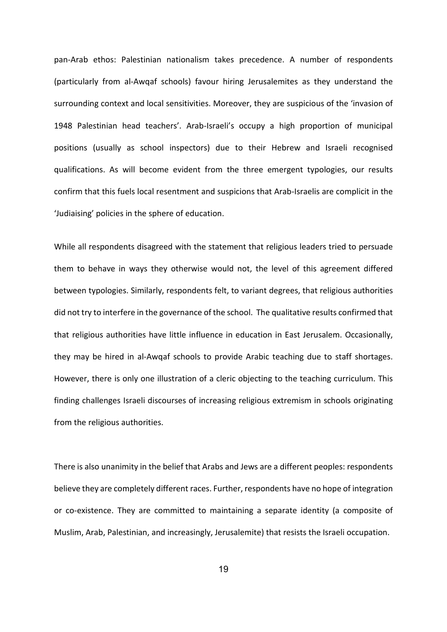pan-Arab ethos: Palestinian nationalism takes precedence. A number of respondents (particularly from al-Awqaf schools) favour hiring Jerusalemites as they understand the surrounding context and local sensitivities. Moreover, they are suspicious of the 'invasion of 1948 Palestinian head teachers'. Arab-Israeli's occupy a high proportion of municipal positions (usually as school inspectors) due to their Hebrew and Israeli recognised qualifications. As will become evident from the three emergent typologies, our results confirm that this fuels local resentment and suspicions that Arab-Israelis are complicit in the 'Judiaising' policies in the sphere of education.

While all respondents disagreed with the statement that religious leaders tried to persuade them to behave in ways they otherwise would not, the level of this agreement differed between typologies. Similarly, respondents felt, to variant degrees, that religious authorities did not try to interfere in the governance of the school. The qualitative results confirmed that that religious authorities have little influence in education in East Jerusalem. Occasionally, they may be hired in al-Awqaf schools to provide Arabic teaching due to staff shortages. However, there is only one illustration of a cleric objecting to the teaching curriculum. This finding challenges Israeli discourses of increasing religious extremism in schools originating from the religious authorities.

There is also unanimity in the belief that Arabs and Jews are a different peoples: respondents believe they are completely different races. Further, respondents have no hope of integration or co-existence. They are committed to maintaining a separate identity (a composite of Muslim, Arab, Palestinian, and increasingly, Jerusalemite) that resists the Israeli occupation.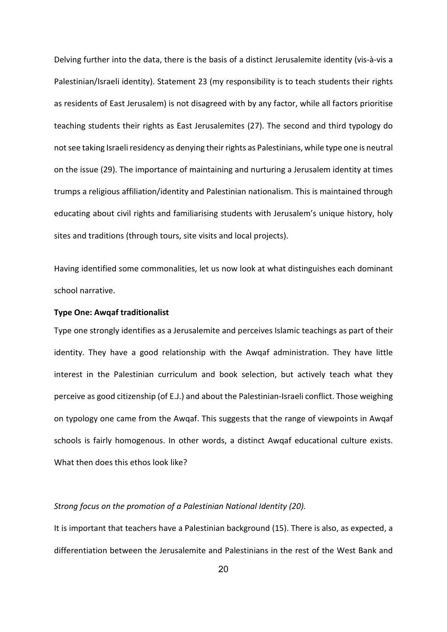Delving further into the data, there is the basis of a distinct Jerusalemite identity (vis-à-vis a Palestinian/Israeli identity). Statement 23 (my responsibility is to teach students their rights as residents of East Jerusalem) is not disagreed with by any factor, while all factors prioritise teaching students their rights as East Jerusalemites (27). The second and third typology do not see taking Israeli residency as denying their rights as Palestinians, while type one is neutral on the issue (29). The importance of maintaining and nurturing a Jerusalem identity at times trumps a religious affiliation/identity and Palestinian nationalism. This is maintained through educating about civil rights and familiarising students with Jerusalem's unique history, holy sites and traditions (through tours, site visits and local projects).

Having identified some commonalities, let us now look at what distinguishes each dominant school narrative.

# **Type One: Awqaf traditionalist**

Type one strongly identifies as a Jerusalemite and perceives Islamic teachings as part of their identity. They have a good relationship with the Awqaf administration. They have little interest in the Palestinian curriculum and book selection, but actively teach what they perceive as good citizenship (of E.J.) and about the Palestinian-Israeli conflict. Those weighing on typology one came from the Awqaf. This suggests that the range of viewpoints in Awqaf schools is fairly homogenous. In other words, a distinct Awqaf educational culture exists. What then does this ethos look like?

# *Strong focus on the promotion of a Palestinian National Identity (20).*

It is important that teachers have a Palestinian background (15). There is also, as expected, a differentiation between the Jerusalemite and Palestinians in the rest of the West Bank and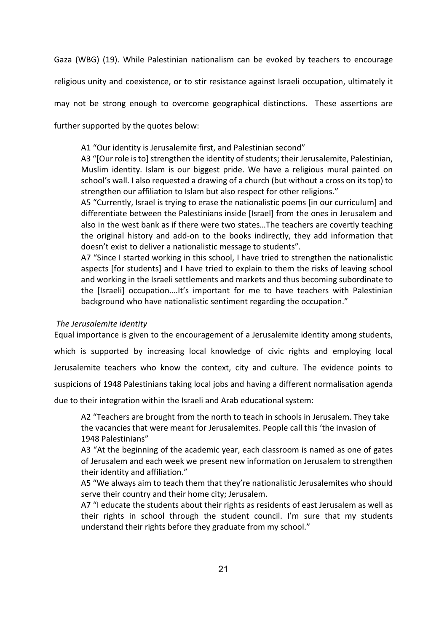Gaza (WBG) (19). While Palestinian nationalism can be evoked by teachers to encourage

religious unity and coexistence, or to stir resistance against Israeli occupation, ultimately it

may not be strong enough to overcome geographical distinctions. These assertions are

further supported by the quotes below:

A1 "Our identity is Jerusalemite first, and Palestinian second"

A3 "[Our role is to] strengthen the identity of students; their Jerusalemite, Palestinian, Muslim identity. Islam is our biggest pride. We have a religious mural painted on school's wall. I also requested a drawing of a church (but without a cross on its top) to strengthen our affiliation to Islam but also respect for other religions."

A5 "Currently, Israel is trying to erase the nationalistic poems [in our curriculum] and differentiate between the Palestinians inside [Israel] from the ones in Jerusalem and also in the west bank as if there were two states…The teachers are covertly teaching the original history and add-on to the books indirectly, they add information that doesn't exist to deliver a nationalistic message to students".

A7 "Since I started working in this school, I have tried to strengthen the nationalistic aspects [for students] and I have tried to explain to them the risks of leaving school and working in the Israeli settlements and markets and thus becoming subordinate to the [Israeli] occupation….It's important for me to have teachers with Palestinian background who have nationalistic sentiment regarding the occupation."

# *The Jerusalemite identity*

Equal importance is given to the encouragement of a Jerusalemite identity among students, which is supported by increasing local knowledge of civic rights and employing local Jerusalemite teachers who know the context, city and culture. The evidence points to suspicions of 1948 Palestinians taking local jobs and having a different normalisation agenda due to their integration within the Israeli and Arab educational system:

A2 "Teachers are brought from the north to teach in schools in Jerusalem. They take the vacancies that were meant for Jerusalemites. People call this 'the invasion of 1948 Palestinians"

A3 "At the beginning of the academic year, each classroom is named as one of gates of Jerusalem and each week we present new information on Jerusalem to strengthen their identity and affiliation."

A5 "We always aim to teach them that they're nationalistic Jerusalemites who should serve their country and their home city; Jerusalem.

A7 "I educate the students about their rights as residents of east Jerusalem as well as their rights in school through the student council. I'm sure that my students understand their rights before they graduate from my school."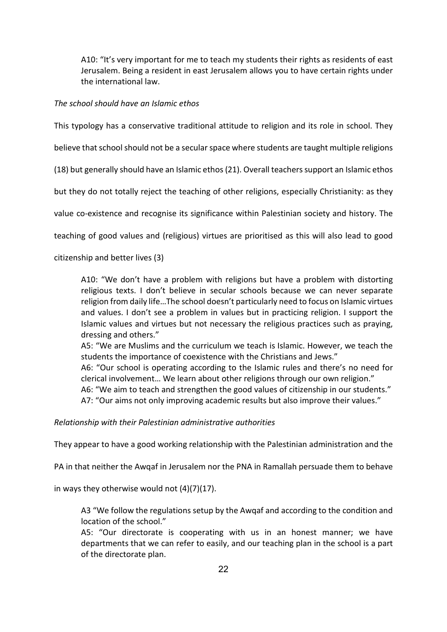A10: "It's very important for me to teach my students their rights as residents of east Jerusalem. Being a resident in east Jerusalem allows you to have certain rights under the international law.

# *The school should have an Islamic ethos*

This typology has a conservative traditional attitude to religion and its role in school. They

believe that school should not be a secular space where students are taught multiple religions

(18) but generally should have an Islamic ethos (21). Overall teachers support an Islamic ethos

but they do not totally reject the teaching of other religions, especially Christianity: as they

value co-existence and recognise its significance within Palestinian society and history. The

teaching of good values and (religious) virtues are prioritised as this will also lead to good

citizenship and better lives (3)

A10: "We don't have a problem with religions but have a problem with distorting religious texts. I don't believe in secular schools because we can never separate religion from daily life…The school doesn't particularly need to focus on Islamic virtues and values. I don't see a problem in values but in practicing religion. I support the Islamic values and virtues but not necessary the religious practices such as praying, dressing and others."

A5: "We are Muslims and the curriculum we teach is Islamic. However, we teach the students the importance of coexistence with the Christians and Jews."

A6: "Our school is operating according to the Islamic rules and there's no need for clerical involvement… We learn about other religions through our own religion."

A6: "We aim to teach and strengthen the good values of citizenship in our students." A7: "Our aims not only improving academic results but also improve their values."

*Relationship with their Palestinian administrative authorities*

They appear to have a good working relationship with the Palestinian administration and the

PA in that neither the Awqaf in Jerusalem nor the PNA in Ramallah persuade them to behave

in ways they otherwise would not (4)(7)(17).

A3 "We follow the regulations setup by the Awqaf and according to the condition and location of the school."

A5: "Our directorate is cooperating with us in an honest manner; we have departments that we can refer to easily, and our teaching plan in the school is a part of the directorate plan.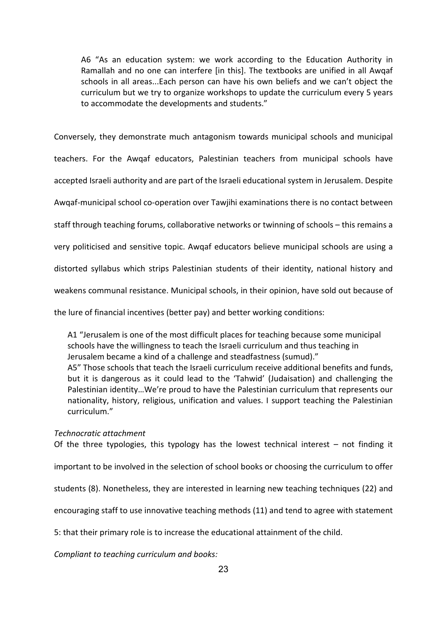A6 "As an education system: we work according to the Education Authority in Ramallah and no one can interfere [in this]. The textbooks are unified in all Awqaf schools in all areas...Each person can have his own beliefs and we can't object the curriculum but we try to organize workshops to update the curriculum every 5 years to accommodate the developments and students."

Conversely, they demonstrate much antagonism towards municipal schools and municipal

teachers. For the Awqaf educators, Palestinian teachers from municipal schools have

accepted Israeli authority and are part of the Israeli educational system in Jerusalem. Despite

Awqaf-municipal school co-operation over Tawjihi examinations there is no contact between

staff through teaching forums, collaborative networks or twinning of schools – this remains a

very politicised and sensitive topic. Awqaf educators believe municipal schools are using a

distorted syllabus which strips Palestinian students of their identity, national history and

weakens communal resistance. Municipal schools, in their opinion, have sold out because of

the lure of financial incentives (better pay) and better working conditions:

A1 "Jerusalem is one of the most difficult places for teaching because some municipal schools have the willingness to teach the Israeli curriculum and thus teaching in Jerusalem became a kind of a challenge and steadfastness (sumud)." A5" Those schools that teach the Israeli curriculum receive additional benefits and funds, but it is dangerous as it could lead to the 'Tahwid' (Judaisation) and challenging the Palestinian identity…We're proud to have the Palestinian curriculum that represents our nationality, history, religious, unification and values. I support teaching the Palestinian curriculum."

*Technocratic attachment*

Of the three typologies, this typology has the lowest technical interest – not finding it important to be involved in the selection of school books or choosing the curriculum to offer students (8). Nonetheless, they are interested in learning new teaching techniques (22) and encouraging staff to use innovative teaching methods (11) and tend to agree with statement 5: that their primary role is to increase the educational attainment of the child.

*Compliant to teaching curriculum and books:*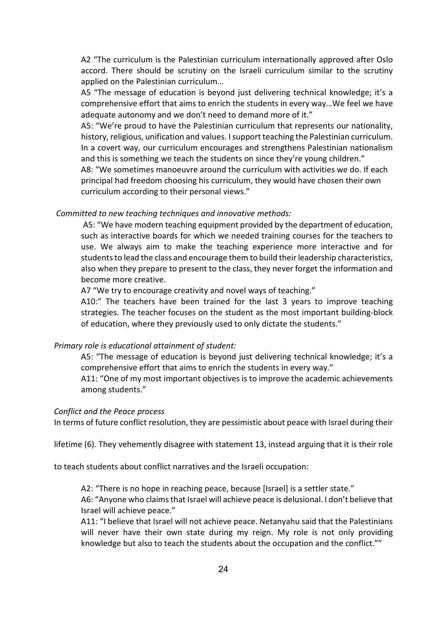A2 "The curriculum is the Palestinian curriculum internationally approved after Oslo accord. There should be scrutiny on the Israeli curriculum similar to the scrutiny applied on the Palestinian curriculum…

A5 "The message of education is beyond just delivering technical knowledge; it's a comprehensive effort that aims to enrich the students in every way…We feel we have adequate autonomy and we don't need to demand more of it."

A5: "We're proud to have the Palestinian curriculum that represents our nationality, history, religious, unification and values. I support teaching the Palestinian curriculum. In a covert way, our curriculum encourages and strengthens Palestinian nationalism and this is something we teach the students on since they're young children."

A8: "We sometimes manoeuvre around the curriculum with activities we do. If each principal had freedom choosing his curriculum, they would have chosen their own curriculum according to their personal views."

# *Committed to new teaching techniques and innovative methods:*

A5: "We have modern teaching equipment provided by the department of education, such as interactive boards for which we needed training courses for the teachers to use. We always aim to make the teaching experience more interactive and for students to lead the class and encourage them to build their leadership characteristics, also when they prepare to present to the class, they never forget the information and become more creative.

A7 "We try to encourage creativity and novel ways of teaching."

A10:" The teachers have been trained for the last 3 years to improve teaching strategies. The teacher focuses on the student as the most important building-block of education, where they previously used to only dictate the students."

# *Primary role is educational attainment of student:*

A5: "The message of education is beyond just delivering technical knowledge; it's a comprehensive effort that aims to enrich the students in every way."

A11: "One of my most important objectives is to improve the academic achievements among students."

### *Conflict and the Peace process*

In terms of future conflict resolution, they are pessimistic about peace with Israel during their

lifetime (6). They vehemently disagree with statement 13, instead arguing that it is their role

to teach students about conflict narratives and the Israeli occupation:

A2: "There is no hope in reaching peace, because [Israel] is a settler state."

A6: "Anyone who claims that Israel will achieve peace is delusional. I don't believe that Israel will achieve peace."

A11: "I believe that Israel will not achieve peace. Netanyahu said that the Palestinians will never have their own state during my reign. My role is not only providing knowledge but also to teach the students about the occupation and the conflict.""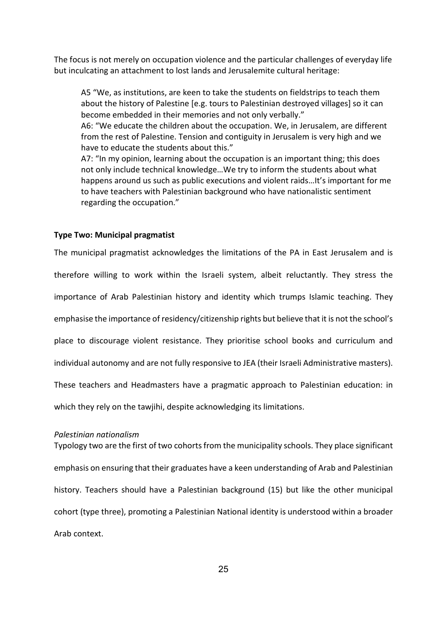The focus is not merely on occupation violence and the particular challenges of everyday life but inculcating an attachment to lost lands and Jerusalemite cultural heritage:

A5 "We, as institutions, are keen to take the students on fieldstrips to teach them about the history of Palestine [e.g. tours to Palestinian destroyed villages] so it can become embedded in their memories and not only verbally."

A6: "We educate the children about the occupation. We, in Jerusalem, are different from the rest of Palestine. Tension and contiguity in Jerusalem is very high and we have to educate the students about this."

A7: "In my opinion, learning about the occupation is an important thing; this does not only include technical knowledge…We try to inform the students about what happens around us such as public executions and violent raids…It's important for me to have teachers with Palestinian background who have nationalistic sentiment regarding the occupation."

#### **Type Two: Municipal pragmatist**

The municipal pragmatist acknowledges the limitations of the PA in East Jerusalem and is therefore willing to work within the Israeli system, albeit reluctantly. They stress the importance of Arab Palestinian history and identity which trumps Islamic teaching. They emphasise the importance of residency/citizenship rights but believe that it is not the school's place to discourage violent resistance. They prioritise school books and curriculum and individual autonomy and are not fully responsive to JEA (their Israeli Administrative masters). These teachers and Headmasters have a pragmatic approach to Palestinian education: in which they rely on the tawjihi, despite acknowledging its limitations.

### *Palestinian nationalism*

Typology two are the first of two cohorts from the municipality schools. They place significant emphasis on ensuring that their graduates have a keen understanding of Arab and Palestinian history. Teachers should have a Palestinian background (15) but like the other municipal cohort (type three), promoting a Palestinian National identity is understood within a broader Arab context.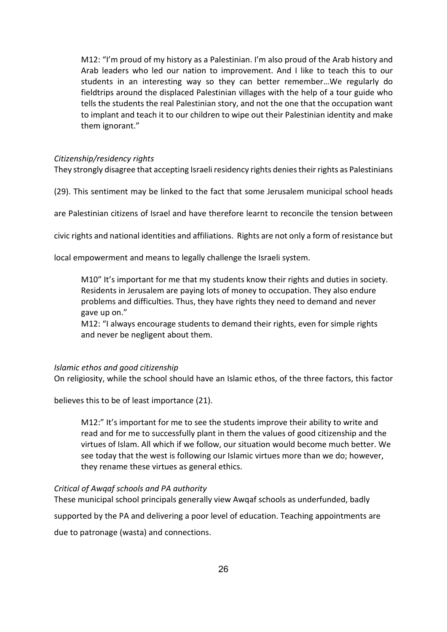M12: "I'm proud of my history as a Palestinian. I'm also proud of the Arab history and Arab leaders who led our nation to improvement. And I like to teach this to our students in an interesting way so they can better remember…We regularly do fieldtrips around the displaced Palestinian villages with the help of a tour guide who tells the students the real Palestinian story, and not the one that the occupation want to implant and teach it to our children to wipe out their Palestinian identity and make them ignorant."

# *Citizenship/residency rights*

They strongly disagree that accepting Israeli residency rights denies their rights as Palestinians

(29). This sentiment may be linked to the fact that some Jerusalem municipal school heads

are Palestinian citizens of Israel and have therefore learnt to reconcile the tension between

civic rights and national identities and affiliations. Rights are not only a form of resistance but

local empowerment and means to legally challenge the Israeli system.

M10" It's important for me that my students know their rights and duties in society. Residents in Jerusalem are paying lots of money to occupation. They also endure problems and difficulties. Thus, they have rights they need to demand and never gave up on."

M12: "I always encourage students to demand their rights, even for simple rights and never be negligent about them.

# *Islamic ethos and good citizenship*

On religiosity, while the school should have an Islamic ethos, of the three factors, this factor

believes this to be of least importance (21).

M12:" It's important for me to see the students improve their ability to write and read and for me to successfully plant in them the values of good citizenship and the virtues of Islam. All which if we follow, our situation would become much better. We see today that the west is following our Islamic virtues more than we do; however, they rename these virtues as general ethics.

### *Critical of Awqaf schools and PA authority*

These municipal school principals generally view Awqaf schools as underfunded, badly supported by the PA and delivering a poor level of education. Teaching appointments are due to patronage (wasta) and connections.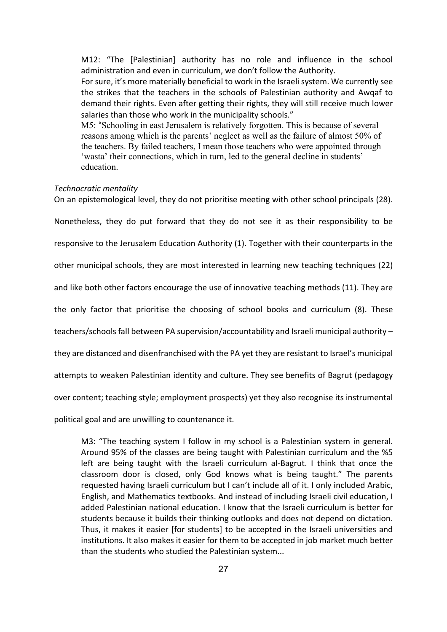M12: "The [Palestinian] authority has no role and influence in the school administration and even in curriculum, we don't follow the Authority. For sure, it's more materially beneficial to work in the Israeli system. We currently see the strikes that the teachers in the schools of Palestinian authority and Awqaf to demand their rights. Even after getting their rights, they will still receive much lower salaries than those who work in the municipality schools." M5: "Schooling in east Jerusalem is relatively forgotten. This is because of several reasons among which is the parents' neglect as well as the failure of almost 50% of the teachers. By failed teachers, I mean those teachers who were appointed through 'wasta' their connections, which in turn, led to the general decline in students' education.

#### *Technocratic mentality*

On an epistemological level, they do not prioritise meeting with other school principals (28).

Nonetheless, they do put forward that they do not see it as their responsibility to be

responsive to the Jerusalem Education Authority (1). Together with their counterparts in the

other municipal schools, they are most interested in learning new teaching techniques (22)

and like both other factors encourage the use of innovative teaching methods (11). They are

the only factor that prioritise the choosing of school books and curriculum (8). These

teachers/schools fall between PA supervision/accountability and Israeli municipal authority –

they are distanced and disenfranchised with the PA yet they are resistant to Israel's municipal

attempts to weaken Palestinian identity and culture. They see benefits of Bagrut (pedagogy

over content; teaching style; employment prospects) yet they also recognise its instrumental

political goal and are unwilling to countenance it.

M3: "The teaching system I follow in my school is a Palestinian system in general. Around 95% of the classes are being taught with Palestinian curriculum and the %5 left are being taught with the Israeli curriculum al-Bagrut. I think that once the classroom door is closed, only God knows what is being taught." The parents requested having Israeli curriculum but I can't include all of it. I only included Arabic, English, and Mathematics textbooks. And instead of including Israeli civil education, I added Palestinian national education. I know that the Israeli curriculum is better for students because it builds their thinking outlooks and does not depend on dictation. Thus, it makes it easier [for students] to be accepted in the Israeli universities and institutions. It also makes it easier for them to be accepted in job market much better than the students who studied the Palestinian system...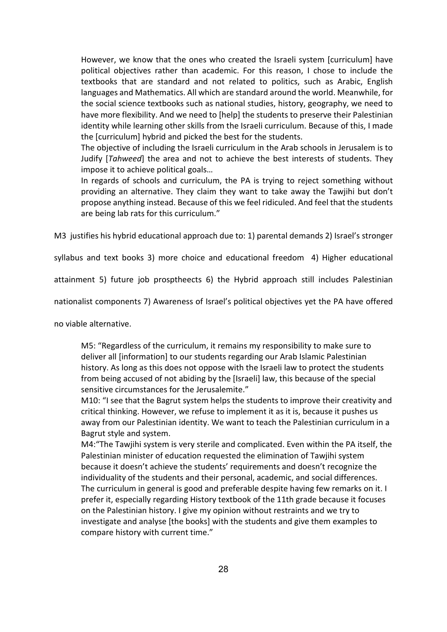However, we know that the ones who created the Israeli system [curriculum] have political objectives rather than academic. For this reason, I chose to include the textbooks that are standard and not related to politics, such as Arabic, English languages and Mathematics. All which are standard around the world. Meanwhile, for the social science textbooks such as national studies, history, geography, we need to have more flexibility. And we need to [help] the students to preserve their Palestinian identity while learning other skills from the Israeli curriculum. Because of this, I made the [curriculum] hybrid and picked the best for the students.

The objective of including the Israeli curriculum in the Arab schools in Jerusalem is to Judify [*Tahweed*] the area and not to achieve the best interests of students. They impose it to achieve political goals…

In regards of schools and curriculum, the PA is trying to reject something without providing an alternative. They claim they want to take away the Tawjihi but don't propose anything instead. Because of this we feel ridiculed. And feel that the students are being lab rats for this curriculum."

M3 justifies his hybrid educational approach due to: 1) parental demands 2) Israel's stronger

syllabus and text books 3) more choice and educational freedom 4) Higher educational

attainment 5) future job prosptheects 6) the Hybrid approach still includes Palestinian

nationalist components 7) Awareness of Israel's political objectives yet the PA have offered

no viable alternative.

M5: "Regardless of the curriculum, it remains my responsibility to make sure to deliver all [information] to our students regarding our Arab Islamic Palestinian history. As long as this does not oppose with the Israeli law to protect the students from being accused of not abiding by the [Israeli] law, this because of the special sensitive circumstances for the Jerusalemite."

M10: "I see that the Bagrut system helps the students to improve their creativity and critical thinking. However, we refuse to implement it as it is, because it pushes us away from our Palestinian identity. We want to teach the Palestinian curriculum in a Bagrut style and system.

M4:"The Tawjihi system is very sterile and complicated. Even within the PA itself, the Palestinian minister of education requested the elimination of Tawjihi system because it doesn't achieve the students' requirements and doesn't recognize the individuality of the students and their personal, academic, and social differences. The curriculum in general is good and preferable despite having few remarks on it. I prefer it, especially regarding History textbook of the 11th grade because it focuses on the Palestinian history. I give my opinion without restraints and we try to investigate and analyse [the books] with the students and give them examples to compare history with current time."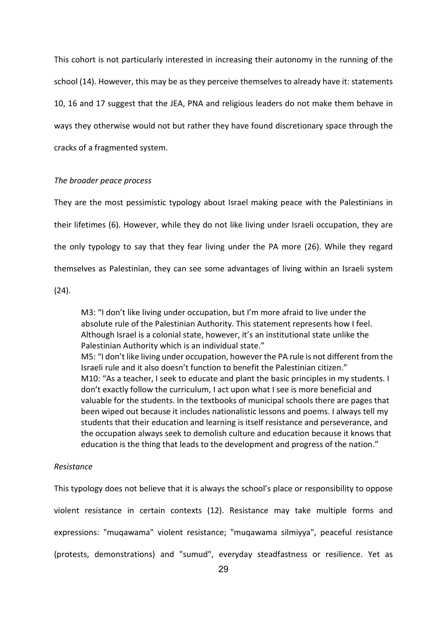This cohort is not particularly interested in increasing their autonomy in the running of the school (14). However, this may be as they perceive themselves to already have it: statements 10, 16 and 17 suggest that the JEA, PNA and religious leaders do not make them behave in ways they otherwise would not but rather they have found discretionary space through the cracks of a fragmented system.

#### *The broader peace process*

They are the most pessimistic typology about Israel making peace with the Palestinians in their lifetimes (6). However, while they do not like living under Israeli occupation, they are the only typology to say that they fear living under the PA more (26). While they regard themselves as Palestinian, they can see some advantages of living within an Israeli system

(24).

M3: "I don't like living under occupation, but I'm more afraid to live under the absolute rule of the Palestinian Authority. This statement represents how I feel. Although Israel is a colonial state, however, it's an institutional state unlike the Palestinian Authority which is an individual state." M5: "I don't like living under occupation, however the PA rule is not different from the Israeli rule and it also doesn't function to benefit the Palestinian citizen." M10: "As a teacher, I seek to educate and plant the basic principles in my students. I don't exactly follow the curriculum, I act upon what I see is more beneficial and valuable for the students. In the textbooks of municipal schools there are pages that been wiped out because it includes nationalistic lessons and poems. I always tell my students that their education and learning is itself resistance and perseverance, and the occupation always seek to demolish culture and education because it knows that education is the thing that leads to the development and progress of the nation."

# *Resistance*

This typology does not believe that it is always the school's place or responsibility to oppose violent resistance in certain contexts (12). Resistance may take multiple forms and expressions: "muqawama" violent resistance; "muqawama silmiyya", peaceful resistance (protests, demonstrations) and "sumud", everyday steadfastness or resilience. Yet as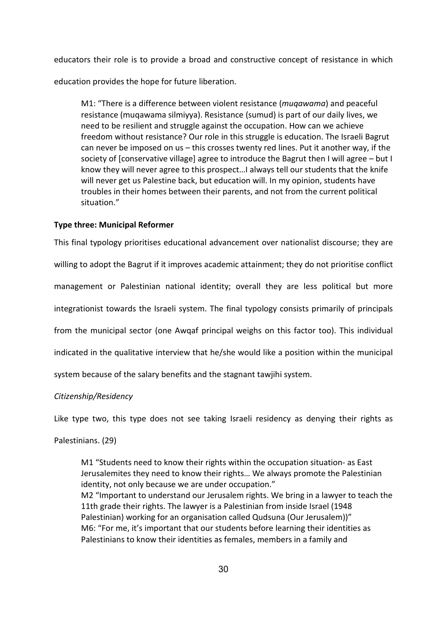educators their role is to provide a broad and constructive concept of resistance in which

education provides the hope for future liberation.

M1: "There is a difference between violent resistance (*muqawama*) and peaceful resistance (muqawama silmiyya). Resistance (sumud) is part of our daily lives, we need to be resilient and struggle against the occupation. How can we achieve freedom without resistance? Our role in this struggle is education. The Israeli Bagrut can never be imposed on us – this crosses twenty red lines. Put it another way, if the society of [conservative village] agree to introduce the Bagrut then I will agree – but I know they will never agree to this prospect…I always tell our students that the knife will never get us Palestine back, but education will. In my opinion, students have troubles in their homes between their parents, and not from the current political situation."

### **Type three: Municipal Reformer**

This final typology prioritises educational advancement over nationalist discourse; they are willing to adopt the Bagrut if it improves academic attainment; they do not prioritise conflict management or Palestinian national identity; overall they are less political but more integrationist towards the Israeli system. The final typology consists primarily of principals from the municipal sector (one Awqaf principal weighs on this factor too). This individual indicated in the qualitative interview that he/she would like a position within the municipal system because of the salary benefits and the stagnant tawjihi system.

# *Citizenship/Residency*

Like type two, this type does not see taking Israeli residency as denying their rights as Palestinians. (29)

M1 "Students need to know their rights within the occupation situation- as East Jerusalemites they need to know their rights… We always promote the Palestinian identity, not only because we are under occupation." M2 "Important to understand our Jerusalem rights. We bring in a lawyer to teach the 11th grade their rights. The lawyer is a Palestinian from inside Israel (1948 Palestinian) working for an organisation called Qudsuna (Our Jerusalem))" M6: "For me, it's important that our students before learning their identities as Palestinians to know their identities as females, members in a family and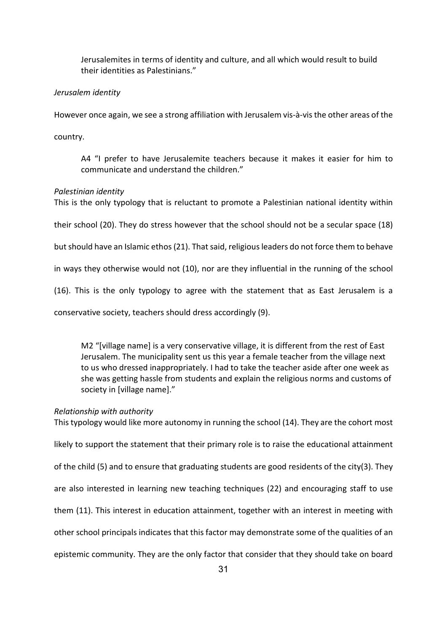Jerusalemites in terms of identity and culture, and all which would result to build their identities as Palestinians."

# *Jerusalem identity*

However once again, we see a strong affiliation with Jerusalem vis-à-vis the other areas of the

country.

A4 "I prefer to have Jerusalemite teachers because it makes it easier for him to communicate and understand the children."

# *Palestinian identity*

This is the only typology that is reluctant to promote a Palestinian national identity within

their school (20). They do stress however that the school should not be a secular space (18)

but should have an Islamic ethos (21). That said, religious leaders do not force them to behave

in ways they otherwise would not (10), nor are they influential in the running of the school

(16). This is the only typology to agree with the statement that as East Jerusalem is a

conservative society, teachers should dress accordingly (9).

M2 "[village name] is a very conservative village, it is different from the rest of East Jerusalem. The municipality sent us this year a female teacher from the village next to us who dressed inappropriately. I had to take the teacher aside after one week as she was getting hassle from students and explain the religious norms and customs of society in [village name]."

# *Relationship with authority*

This typology would like more autonomy in running the school (14). They are the cohort most likely to support the statement that their primary role is to raise the educational attainment of the child (5) and to ensure that graduating students are good residents of the city(3). They are also interested in learning new teaching techniques (22) and encouraging staff to use them (11). This interest in education attainment, together with an interest in meeting with other school principals indicates that this factor may demonstrate some of the qualities of an epistemic community. They are the only factor that consider that they should take on board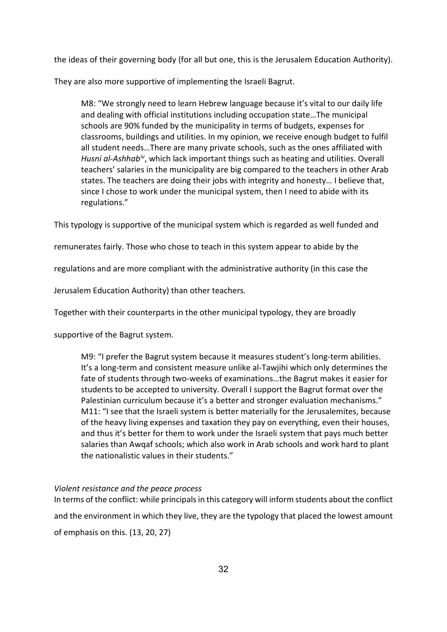the ideas of their governing body (for all but one, this is the Jerusalem Education Authority).

They are also more supportive of implementing the Israeli Bagrut.

M8: "We strongly need to learn Hebrew language because it's vital to our daily life and dealing with official institutions including occupation state…The municipal schools are 90% funded by the municipality in terms of budgets, expenses for classrooms, buildings and utilities. In my opinion, we receive enough budget to fulfil all student needs…There are many private schools, such as the ones affiliated with *Husni al-Ashhab[iv](#page-8-3)*, which lack important things such as heating and utilities. Overall teachers' salaries in the municipality are big compared to the teachers in other Arab states. The teachers are doing their jobs with integrity and honesty… I believe that, since I chose to work under the municipal system, then I need to abide with its regulations."

This typology is supportive of the municipal system which is regarded as well funded and

remunerates fairly. Those who chose to teach in this system appear to abide by the

regulations and are more compliant with the administrative authority (in this case the

Jerusalem Education Authority) than other teachers.

Together with their counterparts in the other municipal typology, they are broadly

supportive of the Bagrut system.

M9: "I prefer the Bagrut system because it measures student's long-term abilities. It's a long-term and consistent measure unlike al-Tawjihi which only determines the fate of students through two-weeks of examinations…the Bagrut makes it easier for students to be accepted to university. Overall I support the Bagrut format over the Palestinian curriculum because it's a better and stronger evaluation mechanisms." M11: "I see that the Israeli system is better materially for the Jerusalemites, because of the heavy living expenses and taxation they pay on everything, even their houses, and thus it's better for them to work under the Israeli system that pays much better salaries than Awqaf schools; which also work in Arab schools and work hard to plant the nationalistic values in their students."

# *Violent resistance and the peace process*

In terms of the conflict: while principals in this category will inform students about the conflict and the environment in which they live, they are the typology that placed the lowest amount of emphasis on this. (13, 20, 27)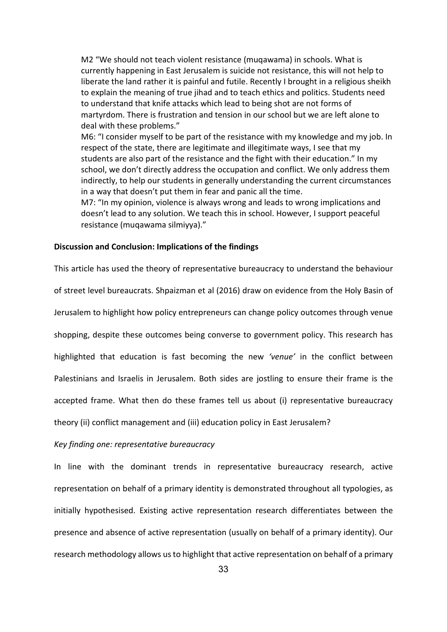M2 "We should not teach violent resistance (muqawama) in schools. What is currently happening in East Jerusalem is suicide not resistance, this will not help to liberate the land rather it is painful and futile. Recently I brought in a religious sheikh to explain the meaning of true jihad and to teach ethics and politics. Students need to understand that knife attacks which lead to being shot are not forms of martyrdom. There is frustration and tension in our school but we are left alone to deal with these problems."

M6: "I consider myself to be part of the resistance with my knowledge and my job. In respect of the state, there are legitimate and illegitimate ways, I see that my students are also part of the resistance and the fight with their education." In my school, we don't directly address the occupation and conflict. We only address them indirectly, to help our students in generally understanding the current circumstances in a way that doesn't put them in fear and panic all the time.

M7: "In my opinion, violence is always wrong and leads to wrong implications and doesn't lead to any solution. We teach this in school. However, I support peaceful resistance (muqawama silmiyya)."

#### **Discussion and Conclusion: Implications of the findings**

This article has used the theory of representative bureaucracy to understand the behaviour of street level bureaucrats. Shpaizman et al (2016) draw on evidence from the Holy Basin of Jerusalem to highlight how policy entrepreneurs can change policy outcomes through venue shopping, despite these outcomes being converse to government policy. This research has highlighted that education is fast becoming the new *'venue'* in the conflict between Palestinians and Israelis in Jerusalem. Both sides are jostling to ensure their frame is the accepted frame. What then do these frames tell us about (i) representative bureaucracy theory (ii) conflict management and (iii) education policy in East Jerusalem?

#### *Key finding one: representative bureaucracy*

In line with the dominant trends in representative bureaucracy research, active representation on behalf of a primary identity is demonstrated throughout all typologies, as initially hypothesised. Existing active representation research differentiates between the presence and absence of active representation (usually on behalf of a primary identity). Our research methodology allows us to highlight that active representation on behalf of a primary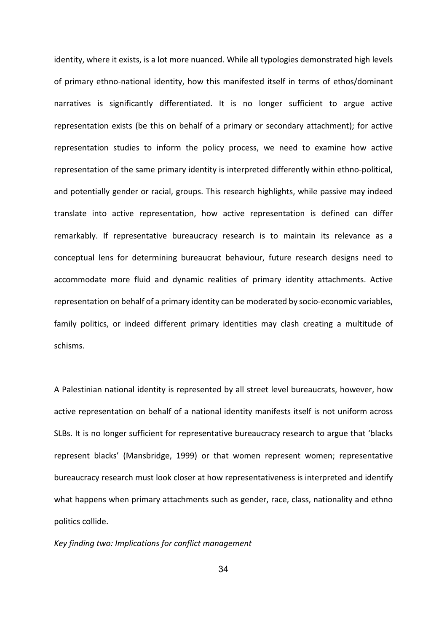identity, where it exists, is a lot more nuanced. While all typologies demonstrated high levels of primary ethno-national identity, how this manifested itself in terms of ethos/dominant narratives is significantly differentiated. It is no longer sufficient to argue active representation exists (be this on behalf of a primary or secondary attachment); for active representation studies to inform the policy process, we need to examine how active representation of the same primary identity is interpreted differently within ethno-political, and potentially gender or racial, groups. This research highlights, while passive may indeed translate into active representation, how active representation is defined can differ remarkably. If representative bureaucracy research is to maintain its relevance as a conceptual lens for determining bureaucrat behaviour, future research designs need to accommodate more fluid and dynamic realities of primary identity attachments. Active representation on behalf of a primary identity can be moderated by socio-economic variables, family politics, or indeed different primary identities may clash creating a multitude of schisms.

A Palestinian national identity is represented by all street level bureaucrats, however, how active representation on behalf of a national identity manifests itself is not uniform across SLBs. It is no longer sufficient for representative bureaucracy research to argue that 'blacks represent blacks' (Mansbridge, 1999) or that women represent women; representative bureaucracy research must look closer at how representativeness is interpreted and identify what happens when primary attachments such as gender, race, class, nationality and ethno politics collide.

#### *Key finding two: Implications for conflict management*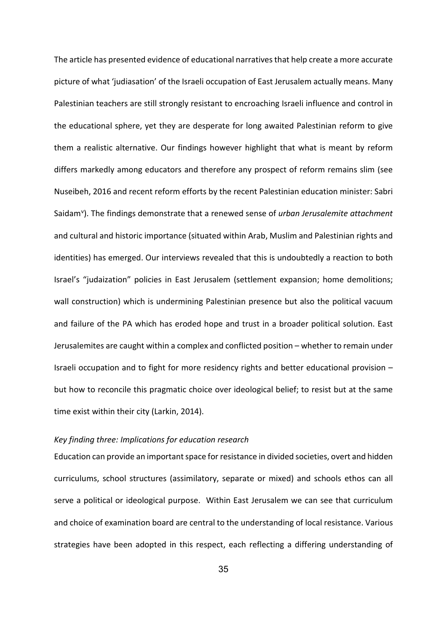The article has presented evidence of educational narratives that help create a more accurate picture of what 'judiasation' of the Israeli occupation of East Jerusalem actually means. Many Palestinian teachers are still strongly resistant to encroaching Israeli influence and control in the educational sphere, yet they are desperate for long awaited Palestinian reform to give them a realistic alternative. Our findings however highlight that what is meant by reform differs markedly among educators and therefore any prospect of reform remains slim (see Nuseibeh, 2016 and recent reform efforts by the recent Palestinian education minister: Sabri Saidam<sup>[v](#page-8-4)</sup>). The findings demonstrate that a renewed sense of *urban Jerusalemite attachment* and cultural and historic importance (situated within Arab, Muslim and Palestinian rights and identities) has emerged. Our interviews revealed that this is undoubtedly a reaction to both Israel's "judaization" policies in East Jerusalem (settlement expansion; home demolitions; wall construction) which is undermining Palestinian presence but also the political vacuum and failure of the PA which has eroded hope and trust in a broader political solution. East Jerusalemites are caught within a complex and conflicted position – whether to remain under Israeli occupation and to fight for more residency rights and better educational provision – but how to reconcile this pragmatic choice over ideological belief; to resist but at the same time exist within their city (Larkin, 2014).

# *Key finding three: Implications for education research*

Education can provide an important space for resistance in divided societies, overt and hidden curriculums, school structures (assimilatory, separate or mixed) and schools ethos can all serve a political or ideological purpose. Within East Jerusalem we can see that curriculum and choice of examination board are central to the understanding of local resistance. Various strategies have been adopted in this respect, each reflecting a differing understanding of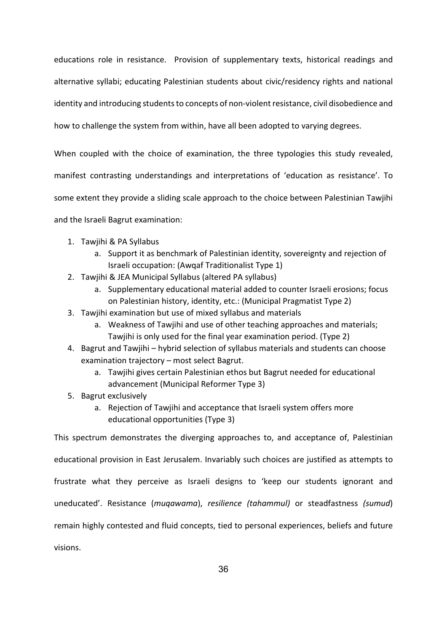educations role in resistance. Provision of supplementary texts, historical readings and alternative syllabi; educating Palestinian students about civic/residency rights and national identity and introducing students to concepts of non-violent resistance, civil disobedience and how to challenge the system from within, have all been adopted to varying degrees.

When coupled with the choice of examination, the three typologies this study revealed, manifest contrasting understandings and interpretations of 'education as resistance'. To some extent they provide a sliding scale approach to the choice between Palestinian Tawjihi and the Israeli Bagrut examination:

- 1. Tawjihi & PA Syllabus
	- a. Support it as benchmark of Palestinian identity, sovereignty and rejection of Israeli occupation: (Awqaf Traditionalist Type 1)
- 2. Tawjihi & JEA Municipal Syllabus (altered PA syllabus)
	- a. Supplementary educational material added to counter Israeli erosions; focus on Palestinian history, identity, etc.: (Municipal Pragmatist Type 2)
- 3. Tawjihi examination but use of mixed syllabus and materials
	- a. Weakness of Tawjihi and use of other teaching approaches and materials; Tawjihi is only used for the final year examination period. (Type 2)
- 4. Bagrut and Tawjihi hybrid selection of syllabus materials and students can choose examination trajectory – most select Bagrut.
	- a. Tawjihi gives certain Palestinian ethos but Bagrut needed for educational advancement (Municipal Reformer Type 3)
- 5. Bagrut exclusively
	- a. Rejection of Tawjihi and acceptance that Israeli system offers more educational opportunities (Type 3)

This spectrum demonstrates the diverging approaches to, and acceptance of, Palestinian educational provision in East Jerusalem. Invariably such choices are justified as attempts to frustrate what they perceive as Israeli designs to 'keep our students ignorant and uneducated'. Resistance (*muqawama*), *resilience (tahammul)* or steadfastness *(sumud*) remain highly contested and fluid concepts, tied to personal experiences, beliefs and future visions.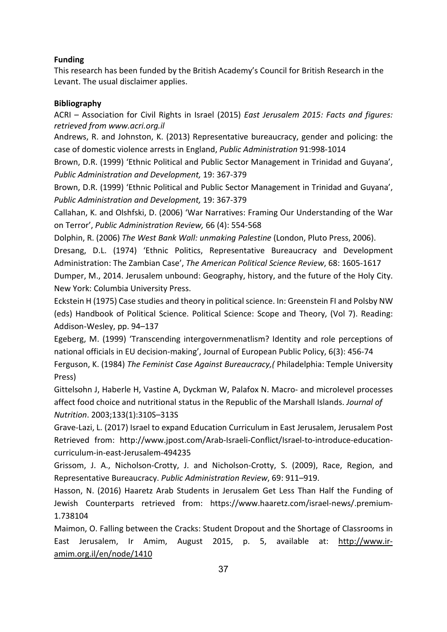# **Funding**

This research has been funded by the British Academy's Council for British Research in the Levant. The usual disclaimer applies.

# **Bibliography**

ACRI – Association for Civil Rights in Israel (2015) *East Jerusalem 2015: Facts and figures: retrieved from www.acri.org.il*

Andrews, R. and Johnston, K. (2013) Representative bureaucracy, gender and policing: the case of domestic violence arrests in England, *Public Administration* 91:998-1014

Brown, D.R. (1999) 'Ethnic Political and Public Sector Management in Trinidad and Guyana', *Public Administration and Development,* 19: 367-379

Brown, D.R. (1999) 'Ethnic Political and Public Sector Management in Trinidad and Guyana', *Public Administration and Development,* 19: 367-379

Callahan, K. and Olshfski, D. (2006) ['War Narratives: Framing Our Understanding of the War](http://mjdubnick.dubnick.net/pubs/2006/Callahan%20Dubnick%20&%20Olshfski%202006.pdf)  [on Terror'](http://mjdubnick.dubnick.net/pubs/2006/Callahan%20Dubnick%20&%20Olshfski%202006.pdf), *Public Administration Review,* 66 (4): 554-568

Dolphin, R. (2006) *The West Bank Wall: unmaking Palestine* (London, Pluto Press, 2006).

Dresang, D.L. (1974) 'Ethnic Politics, Representative Bureaucracy and Development Administration: The Zambian Case', *The American Political Science Review*, 68: 1605-1617

Dumper, M., 2014. Jerusalem unbound: Geography, history, and the future of the Holy City. New York: Columbia University Press.

Eckstein H (1975) Case studies and theory in political science. In: Greenstein FI and Polsby NW (eds) Handbook of Political Science. Political Science: Scope and Theory, (Vol 7). Reading: Addison-Wesley, pp. 94–137

Egeberg, M. (1999) 'Transcending intergovernmenatlism? Identity and role perceptions of national officials in EU decision-making', Journal of European Public Policy, 6(3): 456-74

Ferguson, K. (1984) *The Feminist Case Against Bureaucracy,(* Philadelphia: Temple University Press)

Gittelsohn J, Haberle H, Vastine A, Dyckman W, Palafox N. Macro- and microlevel processes affect food choice and nutritional status in the Republic of the Marshall Islands. *Journal of Nutrition*. 2003;133(1):310S–313S

Grave-Lazi, L. (2017) Israel to expand Education Curriculum in East Jerusalem, Jerusalem Post Retrieved from: [http://www.jpost.com/Arab-Israeli-Conflict/Israel-to-introduce-education](http://www.jpost.com/Arab-Israeli-Conflict/Israel-to-introduce-education-curriculum-in-east-Jerusalem-494235)[curriculum-in-east-Jerusalem-494235](http://www.jpost.com/Arab-Israeli-Conflict/Israel-to-introduce-education-curriculum-in-east-Jerusalem-494235)

Grissom, J. A., Nicholson-Crotty, J. and Nicholson-Crotty, S. (2009), Race, Region, and Representative Bureaucracy. *Public Administration Review*, 69: 911–919.

Hasson, N. (2016) Haaretz Arab Students in Jerusalem Get Less Than Half the Funding of Jewish Counterparts retrieved from: https://www.haaretz.com/israel-news/.premium-1.738104

Maimon, O. Falling between the Cracks: Student Dropout and the Shortage of Classrooms in East Jerusalem, Ir Amim, August 2015, p. 5, available at: [http://www.ir](http://www.ir-amim.org.il/en/node/1410)[amim.org.il/en/node/1410](http://www.ir-amim.org.il/en/node/1410)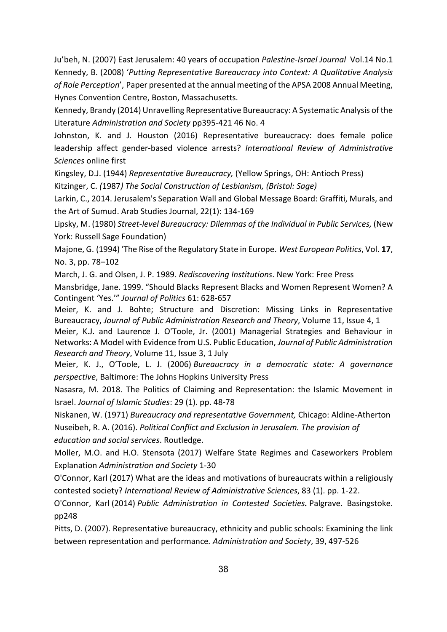Ju'beh, N. (2007) East Jerusalem: 40 years of occupation *Palestine-Israel Journal* Vol.14 No.1 Kennedy, B. (2008) '*Putting Representative Bureaucracy into Context: A Qualitative Analysis of Role Perception*', Paper presented at the annual meeting of the APSA 2008 Annual Meeting, Hynes Convention Centre, Boston, Massachusetts.

Kennedy, Brandy (2014) Unravelling Representative Bureaucracy: A Systematic Analysis of the Literature *Administration and Society* pp395-421 46 No. 4

Johnston, K. and J. Houston (2016) Representative bureaucracy: does female police leadership affect gender-based violence arrests? *International Review of Administrative Sciences* online first

Kingsley, D.J. (1944) *Representative Bureaucracy,* (Yellow Springs, OH: Antioch Press)

Kitzinger, C. *(*1987*) The Social Construction of Lesbianism, (Bristol: Sage)*

Larkin, C., 2014. Jerusalem's Separation Wall and Global Message Board: Graffiti, Murals, and the Art of Sumud. Arab Studies Journal, 22(1): 134-169

Lipsky, M. (1980) *Street-level Bureaucracy: Dilemmas of the Individual in Public Services,* (New York: Russell Sage Foundation)

Majone, G. (1994) 'The Rise of the Regulatory State in Europe. *West European Politics*, Vol. **17**, No. 3, pp. 78–102

March, J. G. and Olsen, J. P. 1989. *Rediscovering Institutions*. New York: Free Press

Mansbridge, Jane. 1999. "Should Blacks Represent Blacks and Women Represent Women? A Contingent 'Yes.'" *Journal of Politics* 61: 628-657

Meier, K. and J. Bohte; Structure and Discretion: Missing Links in Representative Bureaucracy, *Journal of Public Administration Research and Theory*, Volume 11, Issue 4, 1

Meier, K.J. and Laurence J. O'Toole, Jr. (2001) Managerial Strategies and Behaviour in Networks: A Model with Evidence from U.S. Public Education, *Journal of Public Administration Research and Theory*, Volume 11, Issue 3, 1 July

Meier, K. J., O'Toole, L. J. (2006) *Bureaucracy in a democratic state: A governance perspective*, Baltimore: The Johns Hopkins University Press

Nasasra, M. 2018. The Politics of Claiming and Representation: the Islamic Movement in Israel. *Journal of Islamic Studies*: 29 (1). pp. 48-78

Niskanen, W. (1971) *Bureaucracy and representative Government,* Chicago: Aldine-Atherton Nuseibeh, R. A. (2016). *Political Conflict and Exclusion in Jerusalem. The provision of education and social services*. Routledge.

Moller, M.O. and H.O. Stensota (2017) Welfare State Regimes and Caseworkers Problem Explanation *Administration and Society* 1-30

O'Connor, Karl (2017) What are the ideas and motivations of bureaucrats within a religiously contested society? *International Review of Administrative Sciences*, 83 (1). pp. 1-22.

O'Connor, Karl (2014) *Public Administration in Contested Societies.* Palgrave. Basingstoke. pp248

Pitts, D. (2007). Representative bureaucracy, ethnicity and public schools: Examining the link between representation and performance*. Administration and Society*, 39, 497-526